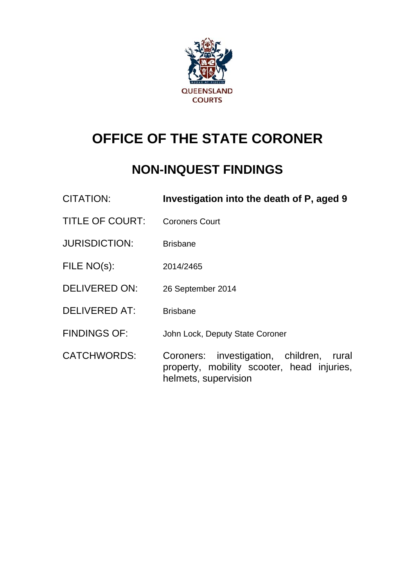

# **OFFICE OF THE STATE CORONER**

# **NON-INQUEST FINDINGS**

| <b>CITATION:</b>       | Investigation into the death of P, aged 9                                                                      |
|------------------------|----------------------------------------------------------------------------------------------------------------|
| <b>TITLE OF COURT:</b> | <b>Coroners Court</b>                                                                                          |
| <b>JURISDICTION:</b>   | <b>Brisbane</b>                                                                                                |
| FILE NO(s):            | 2014/2465                                                                                                      |
| <b>DELIVERED ON:</b>   | 26 September 2014                                                                                              |
| <b>DELIVERED AT:</b>   | <b>Brisbane</b>                                                                                                |
| <b>FINDINGS OF:</b>    | John Lock, Deputy State Coroner                                                                                |
| <b>CATCHWORDS:</b>     | Coroners: investigation, children, rural<br>property, mobility scooter, head injuries,<br>helmets, supervision |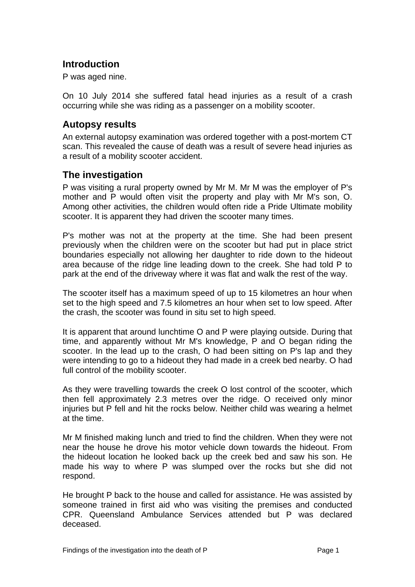## **Introduction**

P was aged nine.

On 10 July 2014 she suffered fatal head injuries as a result of a crash occurring while she was riding as a passenger on a mobility scooter.

#### **Autopsy results**

An external autopsy examination was ordered together with a post-mortem CT scan. This revealed the cause of death was a result of severe head injuries as a result of a mobility scooter accident.

### **The investigation**

P was visiting a rural property owned by Mr M. Mr M was the employer of P's mother and P would often visit the property and play with Mr M's son, O. Among other activities, the children would often ride a Pride Ultimate mobility scooter. It is apparent they had driven the scooter many times.

P's mother was not at the property at the time. She had been present previously when the children were on the scooter but had put in place strict boundaries especially not allowing her daughter to ride down to the hideout area because of the ridge line leading down to the creek. She had told P to park at the end of the driveway where it was flat and walk the rest of the way.

The scooter itself has a maximum speed of up to 15 kilometres an hour when set to the high speed and 7.5 kilometres an hour when set to low speed. After the crash, the scooter was found in situ set to high speed.

It is apparent that around lunchtime O and P were playing outside. During that time, and apparently without Mr M's knowledge, P and O began riding the scooter. In the lead up to the crash, O had been sitting on P's lap and they were intending to go to a hideout they had made in a creek bed nearby. O had full control of the mobility scooter.

As they were travelling towards the creek O lost control of the scooter, which then fell approximately 2.3 metres over the ridge. O received only minor injuries but P fell and hit the rocks below. Neither child was wearing a helmet at the time.

Mr M finished making lunch and tried to find the children. When they were not near the house he drove his motor vehicle down towards the hideout. From the hideout location he looked back up the creek bed and saw his son. He made his way to where P was slumped over the rocks but she did not respond.

He brought P back to the house and called for assistance. He was assisted by someone trained in first aid who was visiting the premises and conducted CPR. Queensland Ambulance Services attended but P was declared deceased.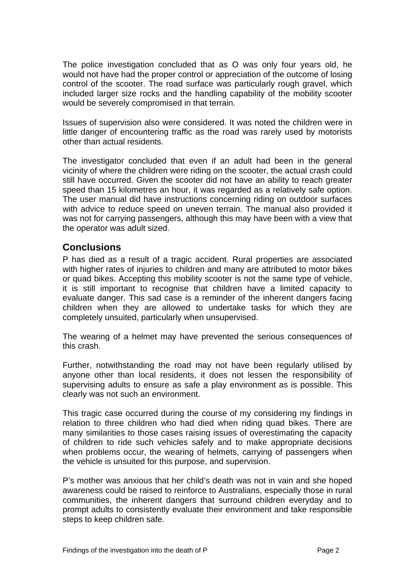The police investigation concluded that as O was only four years old, he would not have had the proper control or appreciation of the outcome of losing control of the scooter. The road surface was particularly rough gravel, which included larger size rocks and the handling capability of the mobility scooter would be severely compromised in that terrain.

Issues of supervision also were considered. It was noted the children were in little danger of encountering traffic as the road was rarely used by motorists other than actual residents.

The investigator concluded that even if an adult had been in the general vicinity of where the children were riding on the scooter, the actual crash could still have occurred. Given the scooter did not have an ability to reach greater speed than 15 kilometres an hour, it was regarded as a relatively safe option. The user manual did have instructions concerning riding on outdoor surfaces with advice to reduce speed on uneven terrain. The manual also provided it was not for carrying passengers, although this may have been with a view that the operator was adult sized.

#### **Conclusions**

P has died as a result of a tragic accident. Rural properties are associated with higher rates of injuries to children and many are attributed to motor bikes or quad bikes. Accepting this mobility scooter is not the same type of vehicle, it is still important to recognise that children have a limited capacity to evaluate danger. This sad case is a reminder of the inherent dangers facing children when they are allowed to undertake tasks for which they are completely unsuited, particularly when unsupervised.

The wearing of a helmet may have prevented the serious consequences of this crash.

Further, notwithstanding the road may not have been regularly utilised by anyone other than local residents, it does not lessen the responsibility of supervising adults to ensure as safe a play environment as is possible. This clearly was not such an environment.

This tragic case occurred during the course of my considering my findings in relation to three children who had died when riding quad bikes. There are many similarities to those cases raising issues of overestimating the capacity of children to ride such vehicles safely and to make appropriate decisions when problems occur, the wearing of helmets, carrying of passengers when the vehicle is unsuited for this purpose, and supervision.

P's mother was anxious that her child's death was not in vain and she hoped awareness could be raised to reinforce to Australians, especially those in rural communities, the inherent dangers that surround children everyday and to prompt adults to consistently evaluate their environment and take responsible steps to keep children safe.